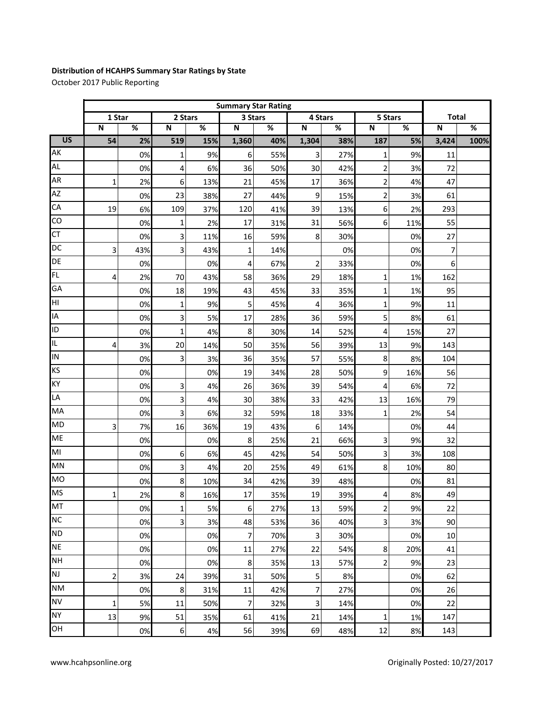## **Distribution of HCAHPS Summary Star Ratings by State**

October 2017 Public Reporting

|                 | <b>Summary Star Rating</b> |     |                         |     |                         |     |                         |     |                         |     |                         |      |
|-----------------|----------------------------|-----|-------------------------|-----|-------------------------|-----|-------------------------|-----|-------------------------|-----|-------------------------|------|
|                 | 1 Star                     |     | 2 Stars                 |     | 3 Stars                 |     | 4 Stars                 |     | 5 Stars                 |     | <b>Total</b>            |      |
|                 | $\overline{\mathsf{N}}$    | %   | $\overline{\mathsf{N}}$ | %   | $\overline{\mathsf{N}}$ | %   | ${\sf N}$               | %   | $\overline{\mathsf{N}}$ | %   | $\overline{\mathsf{N}}$ | %    |
| $\overline{US}$ | 54                         | 2%  | 519                     | 15% | 1,360                   | 40% | 1,304                   | 38% | 187                     | 5%  | 3,424                   | 100% |
| AK              |                            | 0%  | 1                       | 9%  | 6                       | 55% | 3                       | 27% | 1                       | 9%  | 11                      |      |
| <b>AL</b>       |                            | 0%  | 4                       | 6%  | 36                      | 50% | 30                      | 42% | $\overline{c}$          | 3%  | 72                      |      |
| AR              | 1                          | 2%  | 6                       | 13% | 21                      | 45% | 17                      | 36% | 2                       | 4%  | 47                      |      |
| AZ              |                            | 0%  | 23                      | 38% | 27                      | 44% | 9                       | 15% | 2                       | 3%  | 61                      |      |
| CA              | 19                         | 6%  | 109                     | 37% | 120                     | 41% | 39                      | 13% | 6                       | 2%  | 293                     |      |
| CO              |                            | 0%  | 1                       | 2%  | 17                      | 31% | 31                      | 56% | 6                       | 11% | 55                      |      |
| <b>CT</b>       |                            | 0%  | 3                       | 11% | 16                      | 59% | 8                       | 30% |                         | 0%  | 27                      |      |
| DC              | 3                          | 43% | 3                       | 43% | $\mathbf{1}$            | 14% |                         | 0%  |                         | 0%  | 7                       |      |
| DE              |                            | 0%  |                         | 0%  | 4                       | 67% | $\overline{2}$          | 33% |                         | 0%  | 6                       |      |
| <b>FL</b>       | 4                          | 2%  | 70                      | 43% | 58                      | 36% | 29                      | 18% | 1                       | 1%  | 162                     |      |
| GA              |                            | 0%  | 18                      | 19% | 43                      | 45% | 33                      | 35% | 1                       | 1%  | 95                      |      |
| HI              |                            | 0%  | 1                       | 9%  | 5                       | 45% | 4                       | 36% | $\mathbf 1$             | 9%  | 11                      |      |
| IA              |                            | 0%  | 3                       | 5%  | 17                      | 28% | 36                      | 59% | 5                       | 8%  | 61                      |      |
| ID              |                            | 0%  | 1                       | 4%  | 8                       | 30% | 14                      | 52% | 4                       | 15% | 27                      |      |
| IL.             | 4                          | 3%  | 20                      | 14% | 50                      | 35% | 56                      | 39% | 13                      | 9%  | 143                     |      |
| IN              |                            | 0%  | 3                       | 3%  | 36                      | 35% | 57                      | 55% | 8                       | 8%  | 104                     |      |
| KS              |                            | 0%  |                         | 0%  | 19                      | 34% | 28                      | 50% | 9                       | 16% | 56                      |      |
| KY              |                            | 0%  | 3                       | 4%  | 26                      | 36% | 39                      | 54% | 4                       | 6%  | 72                      |      |
| LA              |                            | 0%  | 3                       | 4%  | 30                      | 38% | 33                      | 42% | 13                      | 16% | 79                      |      |
| MA              |                            | 0%  | 3                       | 6%  | 32                      | 59% | 18                      | 33% | $\mathbf 1$             | 2%  | 54                      |      |
| <b>MD</b>       | 3                          | 7%  | 16                      | 36% | 19                      | 43% | 6                       | 14% |                         | 0%  | 44                      |      |
| <b>ME</b>       |                            | 0%  |                         | 0%  | 8                       | 25% | 21                      | 66% | 3                       | 9%  | 32                      |      |
| MI              |                            | 0%  | 6                       | 6%  | 45                      | 42% | 54                      | 50% | 3                       | 3%  | 108                     |      |
| MN              |                            | 0%  | 3                       | 4%  | 20                      | 25% | 49                      | 61% | 8                       | 10% | 80                      |      |
| <b>MO</b>       |                            | 0%  | 8                       | 10% | 34                      | 42% | 39                      | 48% |                         | 0%  | 81                      |      |
| <b>MS</b>       | 1                          | 2%  | 8                       | 16% | 17                      | 35% | 19                      | 39% |                         | 8%  | 49                      |      |
| MT              |                            | 0%  | 1                       | 5%  | 6                       | 27% | 13                      | 59% | 2                       | 9%  | 22                      |      |
| <b>NC</b>       |                            | 0%  | 3                       | 3%  | 48                      | 53% | 36                      | 40% | $\overline{\mathbf{3}}$ | 3%  | 90                      |      |
| <b>ND</b>       |                            | 0%  |                         | 0%  | 7                       | 70% | $\overline{\mathbf{3}}$ | 30% |                         | 0%  | 10                      |      |
| <b>NE</b>       |                            | 0%  |                         | 0%  | 11                      | 27% | 22                      | 54% | 8                       | 20% | 41                      |      |
| <b>NH</b>       |                            | 0%  |                         | 0%  | 8                       | 35% | 13                      | 57% | 2                       | 9%  | 23                      |      |
| <b>NJ</b>       | 2                          | 3%  | 24                      | 39% | 31                      | 50% | 5                       | 8%  |                         | 0%  | 62                      |      |
| <b>NM</b>       |                            | 0%  | 8                       | 31% | 11                      | 42% | 7                       | 27% |                         | 0%  | 26                      |      |
| <b>NV</b>       | 1                          | 5%  | 11                      | 50% | 7                       | 32% | 3                       | 14% |                         | 0%  | 22                      |      |
| <b>NY</b>       | 13                         | 9%  | 51                      | 35% | 61                      | 41% | 21                      | 14% | 1                       | 1%  | 147                     |      |
| OH              |                            | 0%  | 6                       | 4%  | 56                      | 39% | 69                      | 48% | 12                      | 8%  | 143                     |      |